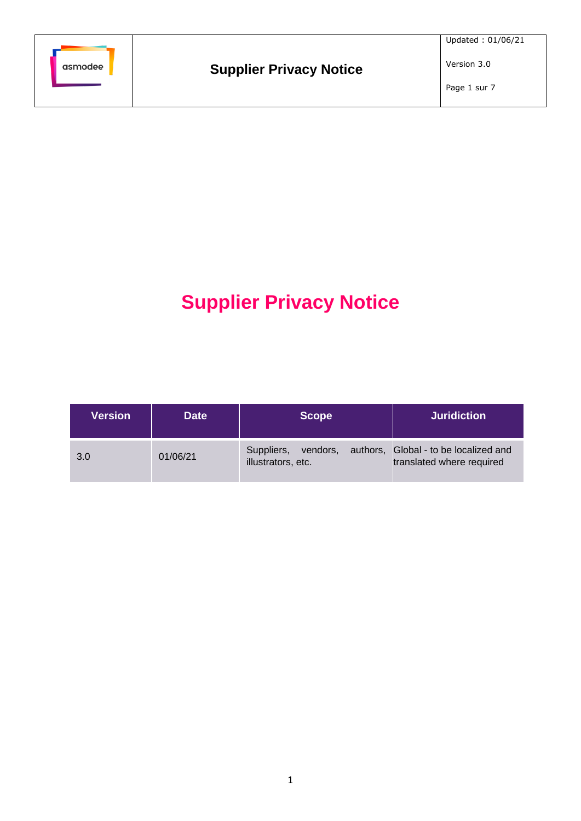

# **Supplier Privacy Notice**

| <b>Version</b> | <b>Date</b> | <b>Scope</b>                                 | <b>Juridiction</b>                                                 |
|----------------|-------------|----------------------------------------------|--------------------------------------------------------------------|
| 3.0            | 01/06/21    | Suppliers,<br>vendors,<br>illustrators, etc. | authors, Global - to be localized and<br>translated where required |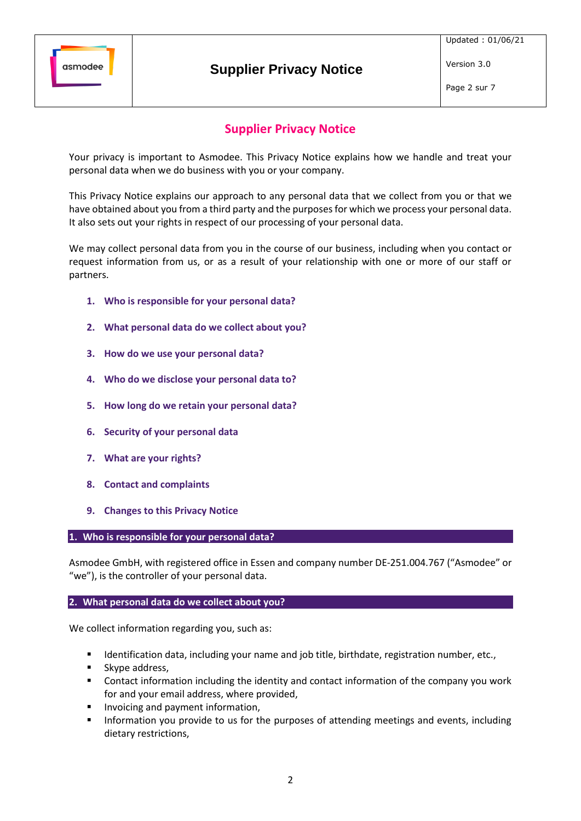

Page 2 sur 7

# **Supplier Privacy Notice**

Your privacy is important to Asmodee. This Privacy Notice explains how we handle and treat your personal data when we do business with you or your company.

This Privacy Notice explains our approach to any personal data that we collect from you or that we have obtained about you from a third party and the purposes for which we process your personal data. It also sets out your rights in respect of our processing of your personal data.

We may collect personal data from you in the course of our business, including when you contact or request information from us, or as a result of your relationship with one or more of our staff or partners.

- **1. Who is responsible for your personal data?**
- **2. What personal data do we collect about you?**
- <span id="page-1-0"></span>**3. How do we use your personal data?**
- **4. Who do we disclose your personal data to?**
- **5. How long do we retain your personal data?**
- **6. Security of your personal data**
- **7. What are your rights?**
- **8. Contact and complaints**
- **9. Changes to this Privacy Notice**

**1. Who is responsible for your personal data?**

Asmodee GmbH, with registered office in Essen and company number DE-251.004.767 ("Asmodee" or "we"), is the controller of your personal data.

#### **2. What personal data do we collect about you?**

We collect information regarding you, such as:

- Identification data, including your name and job title, birthdate, registration number, etc.,
- Skype address,
- Contact information including the identity and contact information of the company you work for and your email address, where provided,
- Invoicing and payment information,
- **■** Information you provide to us for the purposes of attending meetings and events, including dietary restrictions,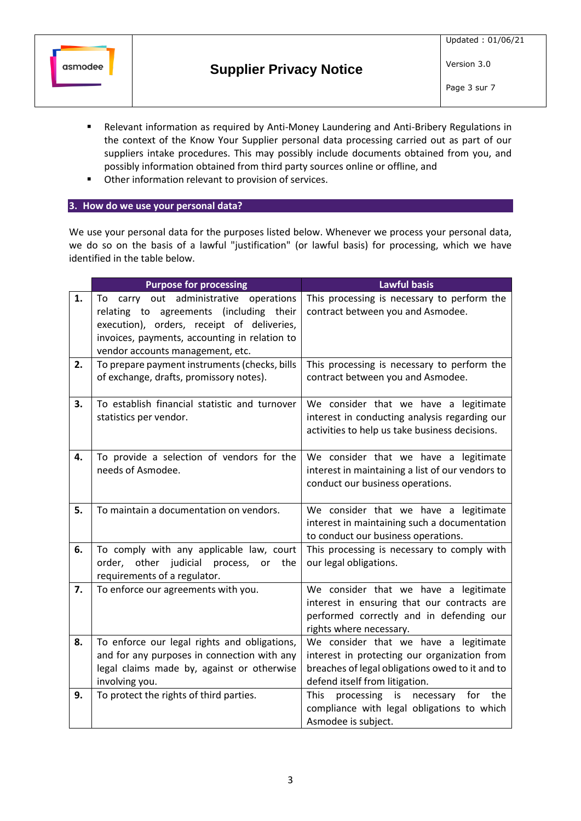

- Relevant information as required by Anti-Money Laundering and Anti-Bribery Regulations in the context of the Know Your Supplier personal data processing carried out as part of our suppliers intake procedures. This may possibly include documents obtained from you, and possibly information obtained from third party sources online or offline, and
- Other information relevant to provision of services.

# **3. How do we use your personal data?**

We use your personal data for the purposes listed below. Whenever we process your personal data, we do so on the basis of a lawful "justification" (or lawful basis) for processing, which we have identified in the table below.

|    | <b>Purpose for processing</b>                                                                                                                                                                                           | <b>Lawful basis</b>                                                                                                                                                        |
|----|-------------------------------------------------------------------------------------------------------------------------------------------------------------------------------------------------------------------------|----------------------------------------------------------------------------------------------------------------------------------------------------------------------------|
| 1. | To carry out administrative<br>operations<br>relating to agreements (including their<br>execution), orders, receipt of deliveries,<br>invoices, payments, accounting in relation to<br>vendor accounts management, etc. | This processing is necessary to perform the<br>contract between you and Asmodee.                                                                                           |
| 2. | To prepare payment instruments (checks, bills<br>of exchange, drafts, promissory notes).                                                                                                                                | This processing is necessary to perform the<br>contract between you and Asmodee.                                                                                           |
| 3. | To establish financial statistic and turnover<br>statistics per vendor.                                                                                                                                                 | We consider that we have a legitimate<br>interest in conducting analysis regarding our<br>activities to help us take business decisions.                                   |
| 4. | To provide a selection of vendors for the<br>needs of Asmodee.                                                                                                                                                          | We consider that we have a legitimate<br>interest in maintaining a list of our vendors to<br>conduct our business operations.                                              |
| 5. | To maintain a documentation on vendors.                                                                                                                                                                                 | We consider that we have a legitimate<br>interest in maintaining such a documentation<br>to conduct our business operations.                                               |
| 6. | To comply with any applicable law, court<br>order, other judicial process, or<br>the<br>requirements of a regulator.                                                                                                    | This processing is necessary to comply with<br>our legal obligations.                                                                                                      |
| 7. | To enforce our agreements with you.                                                                                                                                                                                     | We consider that we have a legitimate<br>interest in ensuring that our contracts are<br>performed correctly and in defending our<br>rights where necessary.                |
| 8. | To enforce our legal rights and obligations,<br>and for any purposes in connection with any<br>legal claims made by, against or otherwise<br>involving you.                                                             | We consider that we have a legitimate<br>interest in protecting our organization from<br>breaches of legal obligations owed to it and to<br>defend itself from litigation. |
| 9. | To protect the rights of third parties.                                                                                                                                                                                 | <b>This</b><br>processing<br>is<br>necessary<br>for the<br>compliance with legal obligations to which<br>Asmodee is subject.                                               |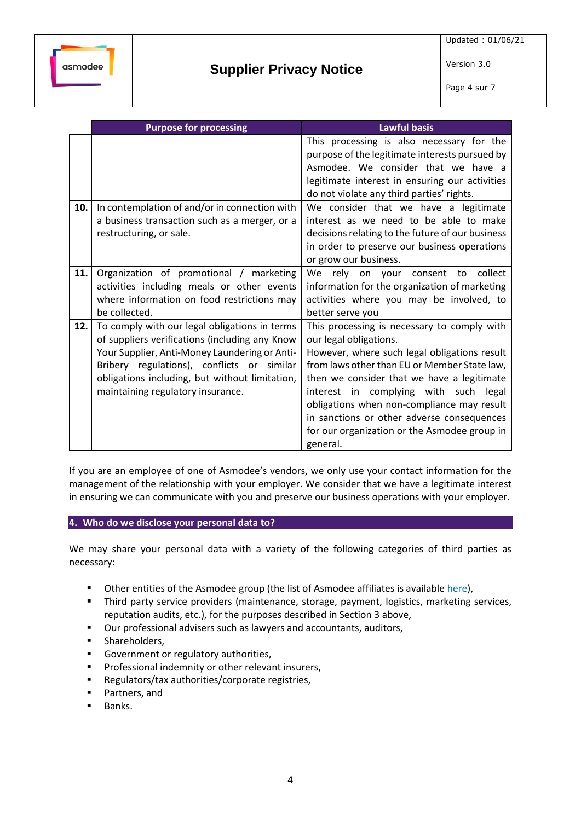Page 4 sur 7

|     | <b>Purpose for processing</b>                                                                                                                                                                                                                                                         | <b>Lawful basis</b>                                                                                                                                                                                                                                                                                                                                                                                                  |
|-----|---------------------------------------------------------------------------------------------------------------------------------------------------------------------------------------------------------------------------------------------------------------------------------------|----------------------------------------------------------------------------------------------------------------------------------------------------------------------------------------------------------------------------------------------------------------------------------------------------------------------------------------------------------------------------------------------------------------------|
|     |                                                                                                                                                                                                                                                                                       | This processing is also necessary for the<br>purpose of the legitimate interests pursued by<br>Asmodee. We consider that we have a<br>legitimate interest in ensuring our activities<br>do not violate any third parties' rights.                                                                                                                                                                                    |
| 10. | In contemplation of and/or in connection with<br>a business transaction such as a merger, or a<br>restructuring, or sale.                                                                                                                                                             | We consider that we have a legitimate<br>interest as we need to be able to make<br>decisions relating to the future of our business<br>in order to preserve our business operations<br>or grow our business.                                                                                                                                                                                                         |
| 11. | Organization of promotional / marketing<br>activities including meals or other events<br>where information on food restrictions may<br>be collected.                                                                                                                                  | We<br>rely on your consent<br>collect<br>to<br>information for the organization of marketing<br>activities where you may be involved, to<br>better serve you                                                                                                                                                                                                                                                         |
| 12. | To comply with our legal obligations in terms<br>of suppliers verifications (including any Know<br>Your Supplier, Anti-Money Laundering or Anti-<br>Bribery regulations), conflicts or similar<br>obligations including, but without limitation,<br>maintaining regulatory insurance. | This processing is necessary to comply with<br>our legal obligations.<br>However, where such legal obligations result<br>from laws other than EU or Member State law,<br>then we consider that we have a legitimate<br>interest in complying with such legal<br>obligations when non-compliance may result<br>in sanctions or other adverse consequences<br>for our organization or the Asmodee group in<br>general. |

If you are an employee of one of Asmodee's vendors, we only use your contact information for the management of the relationship with your employer. We consider that we have a legitimate interest in ensuring we can communicate with you and preserve our business operations with your employer.

**4. Who do we disclose your personal data to?**

We may share your personal data with a variety of the following categories of third parties as necessary:

- Other entities of the Asmodee group (the list of Asmodee affiliates is available [here\)](https://cdn.svc.asmodee.net/corporate/uploads/Templates/Asmodee_group_companies_EN.pdf),
- **Third party service providers (maintenance, storage, payment, logistics, marketing services,** reputation audits, etc.), for the purposes described in Sectio[n 3](#page-1-0) above,
- Our professional advisers such as lawyers and accountants, auditors,
- **■** Shareholders.
- Government or regulatory authorities,
- Professional indemnity or other relevant insurers,
- Regulators/tax authorities/corporate registries,
- Partners, and
- Banks.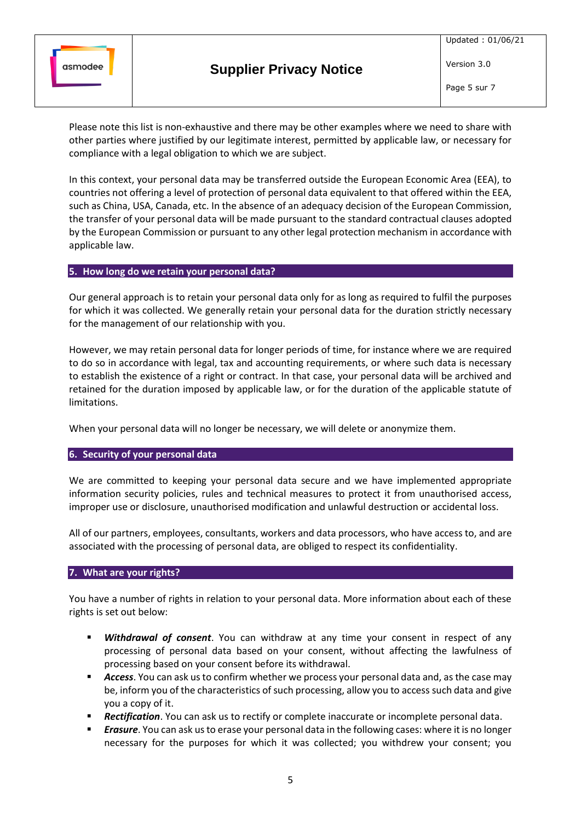

Please note this list is non-exhaustive and there may be other examples where we need to share with other parties where justified by our legitimate interest, permitted by applicable law, or necessary for compliance with a legal obligation to which we are subject.

In this context, your personal data may be transferred outside the European Economic Area (EEA), to countries not offering a level of protection of personal data equivalent to that offered within the EEA, such as China, USA, Canada, etc. In the absence of an adequacy decision of the European Commission, the transfer of your personal data will be made pursuant to the standard contractual clauses adopted by the European Commission or pursuant to any other legal protection mechanism in accordance with applicable law.

# **5. How long do we retain your personal data?**

Our general approach is to retain your personal data only for as long as required to fulfil the purposes for which it was collected. We generally retain your personal data for the duration strictly necessary for the management of our relationship with you.

However, we may retain personal data for longer periods of time, for instance where we are required to do so in accordance with legal, tax and accounting requirements, or where such data is necessary to establish the existence of a right or contract. In that case, your personal data will be archived and retained for the duration imposed by applicable law, or for the duration of the applicable statute of limitations.

When your personal data will no longer be necessary, we will delete or anonymize them.

# **6. Security of your personal data**

We are committed to keeping your personal data secure and we have implemented appropriate information security policies, rules and technical measures to protect it from unauthorised access, improper use or disclosure, unauthorised modification and unlawful destruction or accidental loss.

All of our partners, employees, consultants, workers and data processors, who have access to, and are associated with the processing of personal data, are obliged to respect its confidentiality.

#### **7. What are your rights?**

You have a number of rights in relation to your personal data. More information about each of these rights is set out below:

- **E** *Withdrawal of consent*. You can withdraw at any time your consent in respect of any processing of personal data based on your consent, without affecting the lawfulness of processing based on your consent before its withdrawal.
- **EXECCESS.** You can ask us to confirm whether we process your personal data and, as the case may be, inform you of the characteristics of such processing, allow you to access such data and give you a copy of it.
- **Rectification**. You can ask us to rectify or complete inaccurate or incomplete personal data.
- *Erasure*. You can ask us to erase your personal data in the following cases: where it is no longer necessary for the purposes for which it was collected; you withdrew your consent; you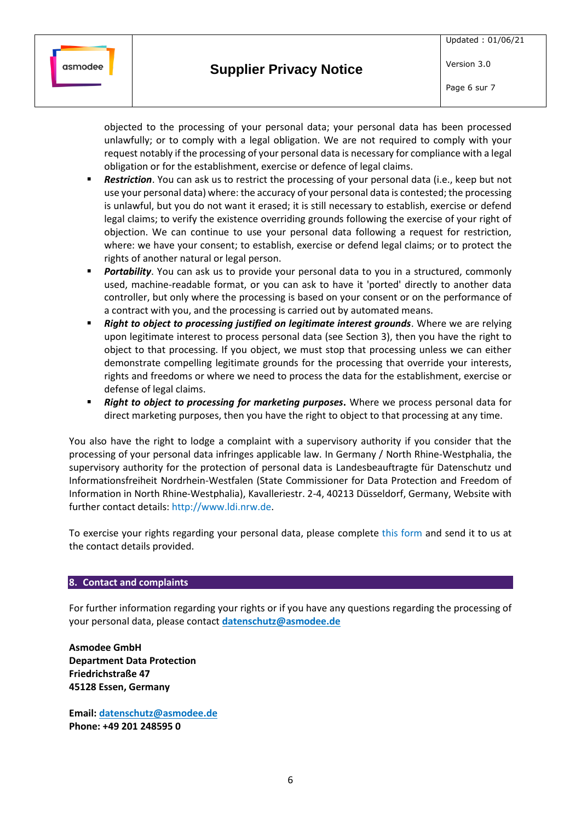

objected to the processing of your personal data; your personal data has been processed unlawfully; or to comply with a legal obligation. We are not required to comply with your request notably if the processing of your personal data is necessary for compliance with a legal obligation or for the establishment, exercise or defence of legal claims.

- **Restriction**. You can ask us to restrict the processing of your personal data (i.e., keep but not use your personal data) where: the accuracy of your personal data is contested; the processing is unlawful, but you do not want it erased; it is still necessary to establish, exercise or defend legal claims; to verify the existence overriding grounds following the exercise of your right of objection. We can continue to use your personal data following a request for restriction, where: we have your consent; to establish, exercise or defend legal claims; or to protect the rights of another natural or legal person.
- Portability. You can ask us to provide your personal data to you in a structured, commonly used, machine-readable format, or you can ask to have it 'ported' directly to another data controller, but only where the processing is based on your consent or on the performance of a contract with you, and the processing is carried out by automated means.
- **Right to object to processing justified on legitimate interest grounds**. Where we are relying upon legitimate interest to process personal data (see Section [3\)](#page-1-0), then you have the right to object to that processing. If you object, we must stop that processing unless we can either demonstrate compelling legitimate grounds for the processing that override your interests, rights and freedoms or where we need to process the data for the establishment, exercise or defense of legal claims.
- **EXECT** *Right to object to processing for marketing purposes***. Where we process personal data for** direct marketing purposes, then you have the right to object to that processing at any time.

You also have the right to lodge a complaint with a supervisory authority if you consider that the processing of your personal data infringes applicable law. In Germany / North Rhine-Westphalia, the supervisory authority for the protection of personal data is Landesbeauftragte für Datenschutz und Informationsfreiheit Nordrhein-Westfalen (State Commissioner for Data Protection and Freedom of Information in North Rhine-Westphalia), Kavalleriestr. 2-4, 40213 Düsseldorf, Germany, Website with further contact details: [http://www.ldi.nrw.de.](http://www.ldi.nrw.de/)

To exercise your rights regarding your personal data, please complete this [form](https://archiv.asmodee.de/files/Form-for-request-claim-relating-to-personal-data.pdf) and send it to us at the contact details provided.

#### **8. Contact and complaints**

For further information regarding your rights or if you have any questions regarding the processing of your personal data, please contact **[datenschutz@asmodee.de](mailto:datenschutz@asmodee.de)**

**Asmodee GmbH Department Data Protection Friedrichstraße 47 45128 Essen, Germany**

**Email[: datenschutz@asmodee.de](mailto:datenschutz@asmodee.de) Phone: +49 201 248595 0**